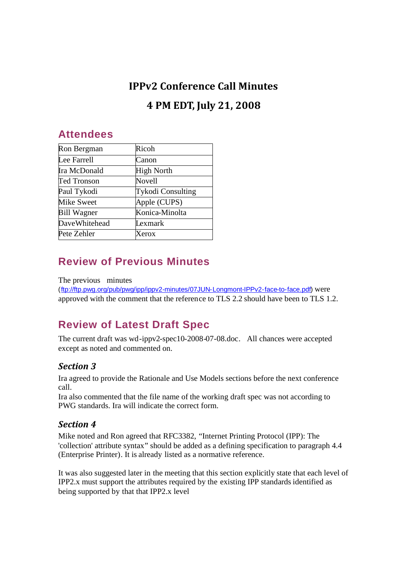# **IPPv2 Conference Call Minutes 4 PM EDT, July 21, 2008**

### **Attendees**

| Ron Bergman          | Ricoh                    |
|----------------------|--------------------------|
| Lee Farrell          | Canon                    |
| Ira McDonald         | High North               |
| Ted Tronson          | Novell                   |
| Paul Tykodi          | <b>Tykodi Consulting</b> |
| Mike Sweet           | Apple (CUPS)             |
| <b>Bill Wagner</b>   | Konica-Minolta           |
| <b>DaveWhitehead</b> | Lexmark                  |
| Pete Zehler          | <b>Xerox</b>             |

# **Review of Previous Minutes**

The previous minutes

(ftp://ftp.pwg.org/pub/pwg/ipp/ippv2-minutes/07JUN-Longmont-IPPv2-face-to-face.pdf) were approved with the comment that the reference to TLS 2.2 should have been to TLS 1.2.

# **Review of Latest Draft Spec**

The current draft was wd-ippv2-spec10-2008-07-08.doc. All chances were accepted except as noted and commented on.

#### *Section 3*

Ira agreed to provide the Rationale and Use Models sections before the next conference call.

Ira also commented that the file name of the working draft spec was not according to PWG standards. Ira will indicate the correct form.

#### *Section 4*

Mike noted and Ron agreed that RFC3382, "Internet Printing Protocol (IPP): The 'collection' attribute syntax" should be added as a defining specification to paragraph 4.4 (Enterprise Printer). It is already listed as a normative reference.

It was also suggested later in the meeting that this section explicitly state that each level of IPP2.x must support the attributes required by the existing IPP standards identified as being supported by that that IPP2.x level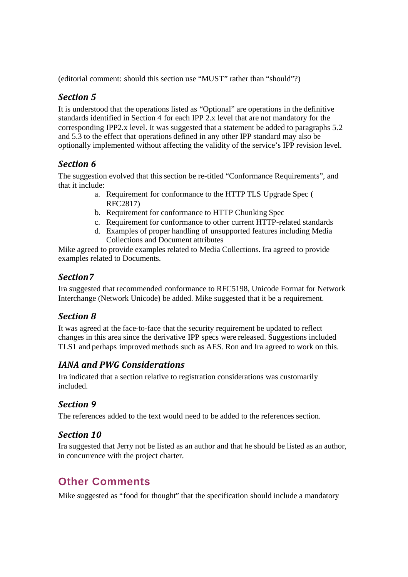(editorial comment: should this section use "MUST" rather than "should"?)

#### *Section 5*

It is understood that the operations listed as "Optional" are operations in the definitive standards identified in Section 4 for each IPP 2.x level that are not mandatory for the corresponding IPP2.x level. It was suggested that a statement be added to paragraphs 5.2 and 5.3 to the effect that operations defined in any other IPP standard may also be optionally implemented without affecting the validity of the service's IPP revision level.

#### *Section 6*

The suggestion evolved that this section be re-titled "Conformance Requirements", and that it include:

- a. Requirement for conformance to the HTTP TLS Upgrade Spec ( RFC2817)
- b. Requirement for conformance to HTTP Chunking Spec
- c. Requirement for conformance to other current HTTP-related standards
- d. Examples of proper handling of unsupported features including Media Collections and Document attributes

Mike agreed to provide examples related to Media Collections. Ira agreed to provide examples related to Documents.

#### *Section7*

Ira suggested that recommended conformance to RFC5198, Unicode Format for Network Interchange (Network Unicode) be added. Mike suggested that it be a requirement.

#### *Section 8*

It was agreed at the face-to-face that the security requirement be updated to reflect changes in this area since the derivative IPP specs were released. Suggestions included TLS1 and perhaps improved methods such as AES. Ron and Ira agreed to work on this.

#### *IANA and PWG Considerations*

Ira indicated that a section relative to registration considerations was customarily included.

#### *Section 9*

The references added to the text would need to be added to the references section.

#### *Section 10*

Ira suggested that Jerry not be listed as an author and that he should be listed as an author, in concurrence with the project charter.

### **Other Comments**

Mike suggested as "food for thought" that the specification should include a mandatory